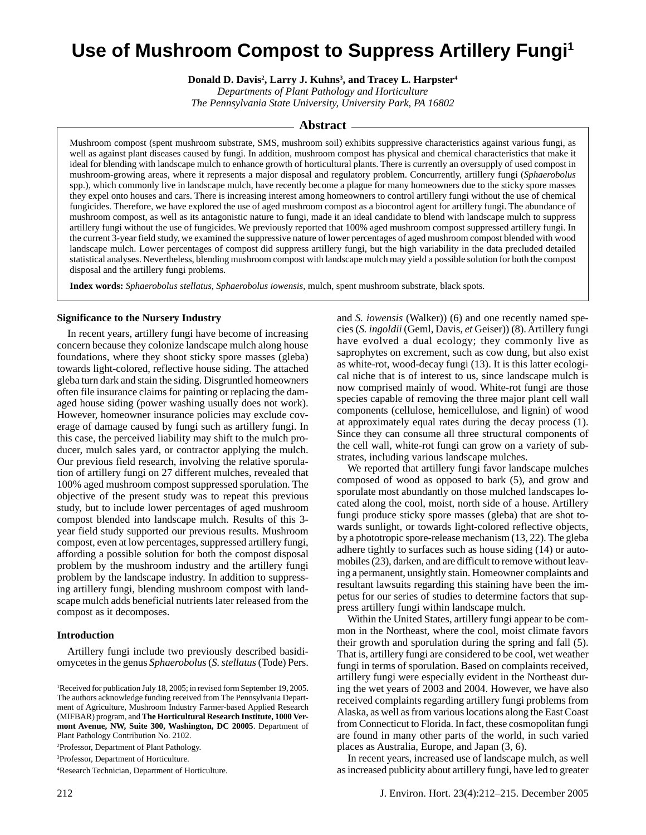# **Use of Mushroom Compost to Suppress Artillery Fungi<sup>1</sup>**

**Donald D. Davis<sup>2</sup> , Larry J. Kuhns<sup>3</sup> , and Tracey L. Harpster<sup>4</sup>**

*Departments of Plant Pathology and Horticulture The Pennsylvania State University, University Park, PA 16802*

## **Abstract**

Mushroom compost (spent mushroom substrate, SMS, mushroom soil) exhibits suppressive characteristics against various fungi, as well as against plant diseases caused by fungi. In addition, mushroom compost has physical and chemical characteristics that make it ideal for blending with landscape mulch to enhance growth of horticultural plants. There is currently an oversupply of used compost in mushroom-growing areas, where it represents a major disposal and regulatory problem. Concurrently, artillery fungi (*Sphaerobolus* spp.), which commonly live in landscape mulch, have recently become a plague for many homeowners due to the sticky spore masses they expel onto houses and cars. There is increasing interest among homeowners to control artillery fungi without the use of chemical fungicides. Therefore, we have explored the use of aged mushroom compost as a biocontrol agent for artillery fungi. The abundance of mushroom compost, as well as its antagonistic nature to fungi, made it an ideal candidate to blend with landscape mulch to suppress artillery fungi without the use of fungicides. We previously reported that 100% aged mushroom compost suppressed artillery fungi. In the current 3-year field study, we examined the suppressive nature of lower percentages of aged mushroom compost blended with wood landscape mulch. Lower percentages of compost did suppress artillery fungi, but the high variability in the data precluded detailed statistical analyses. Nevertheless, blending mushroom compost with landscape mulch may yield a possible solution for both the compost disposal and the artillery fungi problems.

**Index words:** *Sphaerobolus stellatus*, *Sphaerobolus iowensis*, mulch, spent mushroom substrate, black spots*.*

## **Significance to the Nursery Industry**

In recent years, artillery fungi have become of increasing concern because they colonize landscape mulch along house foundations, where they shoot sticky spore masses (gleba) towards light-colored, reflective house siding. The attached gleba turn dark and stain the siding. Disgruntled homeowners often file insurance claims for painting or replacing the damaged house siding (power washing usually does not work). However, homeowner insurance policies may exclude coverage of damage caused by fungi such as artillery fungi. In this case, the perceived liability may shift to the mulch producer, mulch sales yard, or contractor applying the mulch. Our previous field research, involving the relative sporulation of artillery fungi on 27 different mulches, revealed that 100% aged mushroom compost suppressed sporulation. The objective of the present study was to repeat this previous study, but to include lower percentages of aged mushroom compost blended into landscape mulch. Results of this 3 year field study supported our previous results. Mushroom compost, even at low percentages, suppressed artillery fungi, affording a possible solution for both the compost disposal problem by the mushroom industry and the artillery fungi problem by the landscape industry. In addition to suppressing artillery fungi, blending mushroom compost with landscape mulch adds beneficial nutrients later released from the compost as it decomposes.

#### **Introduction**

Artillery fungi include two previously described basidiomycetes in the genus *Sphaerobolus* (*S.stellatus* (Tode) Pers.

<sup>2</sup>Professor, Department of Plant Pathology.

<sup>3</sup>Professor, Department of Horticulture.

<sup>4</sup>Research Technician, Department of Horticulture.

and *S. iowensis* (Walker)) (6) and one recently named species (*S.ingoldii* (Geml, Davis, *et* Geiser)) (8). Artillery fungi have evolved a dual ecology; they commonly live as saprophytes on excrement, such as cow dung, but also exist as white-rot, wood-decay fungi (13). It is this latter ecological niche that is of interest to us, since landscape mulch is now comprised mainly of wood. White-rot fungi are those species capable of removing the three major plant cell wall components (cellulose, hemicellulose, and lignin) of wood at approximately equal rates during the decay process (1). Since they can consume all three structural components of the cell wall, white-rot fungi can grow on a variety of substrates, including various landscape mulches.

We reported that artillery fungi favor landscape mulches composed of wood as opposed to bark (5), and grow and sporulate most abundantly on those mulched landscapes located along the cool, moist, north side of a house. Artillery fungi produce sticky spore masses (gleba) that are shot towards sunlight, or towards light-colored reflective objects, by a phototropic spore-release mechanism (13, 22). The gleba adhere tightly to surfaces such as house siding (14) or automobiles (23), darken, and are difficult to remove without leaving a permanent, unsightly stain. Homeowner complaints and resultant lawsuits regarding this staining have been the impetus for our series of studies to determine factors that suppress artillery fungi within landscape mulch.

Within the United States, artillery fungi appear to be common in the Northeast, where the cool, moist climate favors their growth and sporulation during the spring and fall (5). That is, artillery fungi are considered to be cool, wet weather fungi in terms of sporulation. Based on complaints received, artillery fungi were especially evident in the Northeast during the wet years of 2003 and 2004. However, we have also received complaints regarding artillery fungi problems from Alaska, as well as from various locations along the East Coast from Connecticut to Florida. In fact, these cosmopolitan fungi are found in many other parts of the world, in such varied places as Australia, Europe, and Japan (3, 6).

In recent years, increased use of landscape mulch, as well as increased publicity about artillery fungi, have led to greater

<sup>&</sup>lt;sup>1</sup>Received for publication July 18, 2005; in revised form September 19, 2005. The authors acknowledge funding received from The Pennsylvania Department of Agriculture, Mushroom Industry Farmer-based Applied Research (MIFBAR) program, and**The Horticultural Research Institute, 1000 Vermont Avenue, NW, Suite 300, Washington, DC 20005**. Department of Plant Pathology Contribution No. 2102.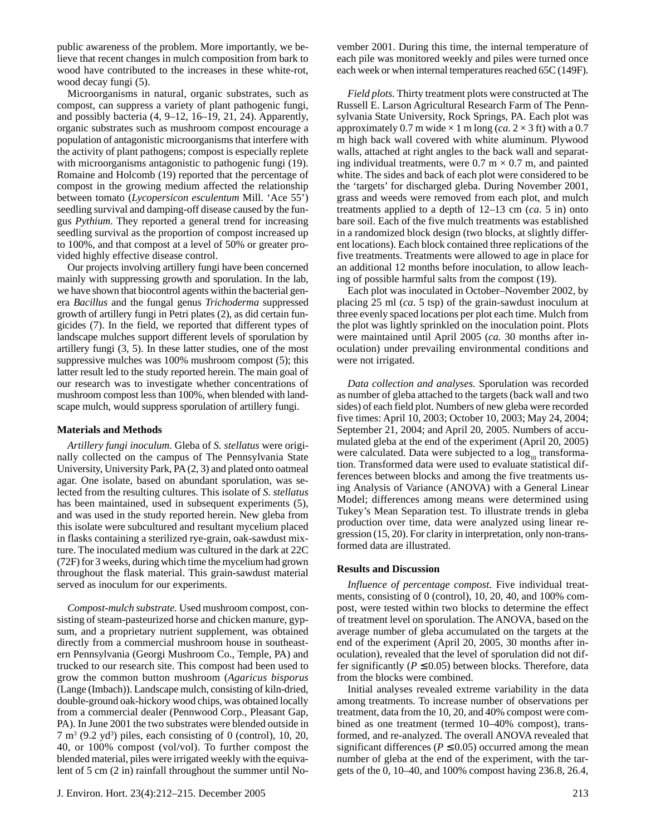public awareness of the problem. More importantly, we believe that recent changes in mulch composition from bark to wood have contributed to the increases in these white-rot, wood decay fungi (5).

Microorganisms in natural, organic substrates, such as compost, can suppress a variety of plant pathogenic fungi, and possibly bacteria (4, 9–12, 16–19, 21, 24). Apparently, organic substrates such as mushroom compost encourage a population of antagonistic microorganisms that interfere with the activity of plant pathogens; compost is especially replete with microorganisms antagonistic to pathogenic fungi (19). Romaine and Holcomb (19) reported that the percentage of compost in the growing medium affected the relationship between tomato (*Lycopersicon esculentum* Mill. 'Ace 55') seedling survival and damping-off disease caused by the fungus *Pythium*. They reported a general trend for increasing seedling survival as the proportion of compost increased up to 100%, and that compost at a level of 50% or greater provided highly effective disease control.

Our projects involving artillery fungi have been concerned mainly with suppressing growth and sporulation. In the lab, we have shown that biocontrol agents within the bacterial genera *Bacillus* and the fungal genus *Trichoderma* suppressed growth of artillery fungi in Petri plates (2), as did certain fungicides (7). In the field, we reported that different types of landscape mulches support different levels of sporulation by artillery fungi (3, 5). In these latter studies, one of the most suppressive mulches was 100% mushroom compost (5); this latter result led to the study reported herein. The main goal of our research was to investigate whether concentrations of mushroom compost less than 100%, when blended with landscape mulch, would suppress sporulation of artillery fungi.

## **Materials and Methods**

*Artillery fungi inoculum.* Gleba of *S. stellatus* were originally collected on the campus of The Pennsylvania State University, University Park, PA (2, 3) and plated onto oatmeal agar. One isolate, based on abundant sporulation, was selected from the resulting cultures. This isolate of *S. stellatus* has been maintained, used in subsequent experiments (5), and was used in the study reported herein. New gleba from this isolate were subcultured and resultant mycelium placed in flasks containing a sterilized rye-grain, oak-sawdust mixture. The inoculated medium was cultured in the dark at 22C (72F) for 3 weeks, during which time the mycelium had grown throughout the flask material. This grain-sawdust material served as inoculum for our experiments.

*Compost-mulch substrate.* Used mushroom compost, consisting of steam-pasteurized horse and chicken manure, gypsum, and a proprietary nutrient supplement, was obtained directly from a commercial mushroom house in southeastern Pennsylvania (Georgi Mushroom Co., Temple, PA) and trucked to our research site. This compost had been used to grow the common button mushroom (*Agaricus bisporus* (Lange (Imbach)). Landscape mulch, consisting of kiln-dried, double-ground oak-hickory wood chips, was obtained locally from a commercial dealer (Pennwood Corp., Pleasant Gap, PA). In June 2001 the two substrates were blended outside in  $7 \text{ m}^3$  (9.2 yd<sup>3</sup>) piles, each consisting of 0 (control), 10, 20, 40, or 100% compost (vol/vol). To further compost the blended material, piles were irrigated weekly with the equivalent of 5 cm (2 in) rainfall throughout the summer until November 2001. During this time, the internal temperature of each pile was monitored weekly and piles were turned once each week or when internal temperatures reached 65C (149F).

*Field plots.* Thirty treatment plots were constructed at The Russell E. Larson Agricultural Research Farm of The Pennsylvania State University, Rock Springs, PA. Each plot was approximately 0.7 m wide  $\times$  1 m long (*ca*. 2  $\times$  3 ft) with a 0.7 m high back wall covered with white aluminum. Plywood walls, attached at right angles to the back wall and separating individual treatments, were  $0.7 \text{ m} \times 0.7 \text{ m}$ , and painted white. The sides and back of each plot were considered to be the 'targets' for discharged gleba. During November 2001, grass and weeds were removed from each plot, and mulch treatments applied to a depth of 12–13 cm (*ca*. 5 in) onto bare soil. Each of the five mulch treatments was established in a randomized block design (two blocks, at slightly different locations). Each block contained three replications of the five treatments. Treatments were allowed to age in place for an additional 12 months before inoculation, to allow leaching of possible harmful salts from the compost (19).

Each plot was inoculated in October–November 2002, by placing 25 ml (*ca*. 5 tsp) of the grain-sawdust inoculum at three evenly spaced locations per plot each time. Mulch from the plot was lightly sprinkled on the inoculation point. Plots were maintained until April 2005 (*ca.* 30 months after inoculation) under prevailing environmental conditions and were not irrigated.

*Data collection and analyses.* Sporulation was recorded as number of gleba attached to the targets (back wall and two sides) of each field plot. Numbers of new gleba were recorded five times: April 10, 2003; October 10, 2003; May 24, 2004; September 21, 2004; and April 20, 2005. Numbers of accumulated gleba at the end of the experiment (April 20, 2005) were calculated. Data were subjected to a  $log_{10}$  transformation. Transformed data were used to evaluate statistical differences between blocks and among the five treatments using Analysis of Variance (ANOVA) with a General Linear Model; differences among means were determined using Tukey's Mean Separation test. To illustrate trends in gleba production over time, data were analyzed using linear regression (15, 20). For clarity in interpretation, only non-transformed data are illustrated.

## **Results and Discussion**

*Influence of percentage compost.* Five individual treatments, consisting of 0 (control), 10, 20, 40, and 100% compost, were tested within two blocks to determine the effect of treatment level on sporulation. The ANOVA, based on the average number of gleba accumulated on the targets at the end of the experiment (April 20, 2005, 30 months after inoculation), revealed that the level of sporulation did not differ significantly ( $P \le 0.05$ ) between blocks. Therefore, data from the blocks were combined.

Initial analyses revealed extreme variability in the data among treatments. To increase number of observations per treatment, data from the 10, 20, and 40% compost were combined as one treatment (termed 10–40% compost), transformed, and re-analyzed. The overall ANOVA revealed that significant differences ( $P \le 0.05$ ) occurred among the mean number of gleba at the end of the experiment, with the targets of the 0, 10–40, and 100% compost having 236.8, 26.4,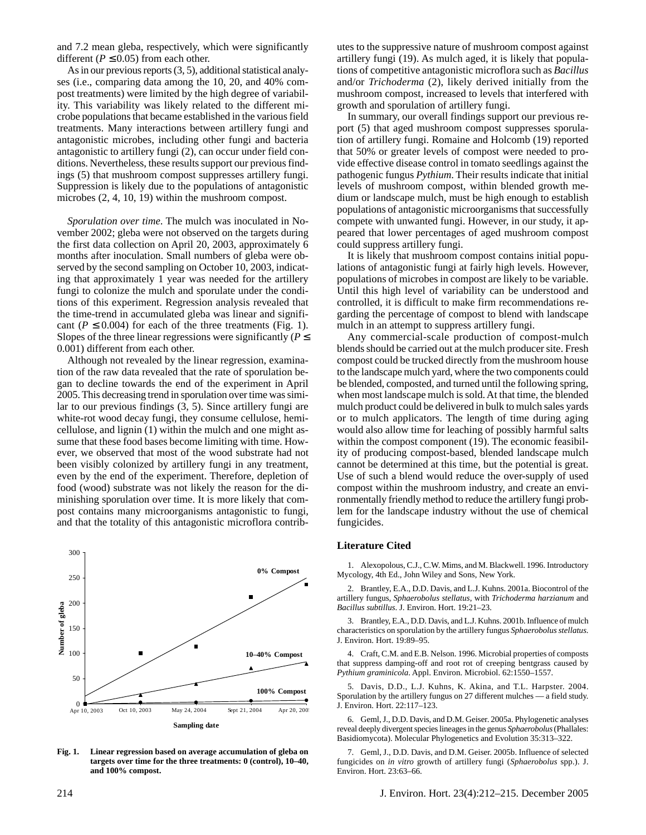and 7.2 mean gleba, respectively, which were significantly different ( $P \le 0.05$ ) from each other.

As in our previous reports (3, 5), additional statistical analyses (i.e., comparing data among the 10, 20, and 40% compost treatments) were limited by the high degree of variability. This variability was likely related to the different microbe populations that became established in the various field treatments. Many interactions between artillery fungi and antagonistic microbes, including other fungi and bacteria antagonistic to artillery fungi (2), can occur under field conditions. Nevertheless, these results support our previous findings (5) that mushroom compost suppresses artillery fungi. Suppression is likely due to the populations of antagonistic microbes (2, 4, 10, 19) within the mushroom compost.

*Sporulation over time*. The mulch was inoculated in November 2002; gleba were not observed on the targets during the first data collection on April 20, 2003, approximately 6 months after inoculation. Small numbers of gleba were observed by the second sampling on October 10, 2003, indicating that approximately 1 year was needed for the artillery fungi to colonize the mulch and sporulate under the conditions of this experiment. Regression analysis revealed that the time-trend in accumulated gleba was linear and significant ( $P \le 0.004$ ) for each of the three treatments (Fig. 1). Slopes of the three linear regressions were significantly ( $P \leq$ 0.001) different from each other.

Although not revealed by the linear regression, examination of the raw data revealed that the rate of sporulation began to decline towards the end of the experiment in April 2005. This decreasing trend in sporulation over time was similar to our previous findings (3, 5). Since artillery fungi are white-rot wood decay fungi, they consume cellulose, hemicellulose, and lignin (1) within the mulch and one might assume that these food bases become limiting with time. However, we observed that most of the wood substrate had not been visibly colonized by artillery fungi in any treatment, even by the end of the experiment. Therefore, depletion of food (wood) substrate was not likely the reason for the diminishing sporulation over time. It is more likely that compost contains many microorganisms antagonistic to fungi, and that the totality of this antagonistic microflora contrib-



**Fig. 1. Linear regression based on average accumulation of gleba on targets over time for the three treatments: 0 (control), 10–40, and 100% compost.**

utes to the suppressive nature of mushroom compost against artillery fungi (19). As mulch aged, it is likely that populations of competitive antagonistic microflora such as *Bacillus* and/or *Trichoderma* (2), likely derived initially from the mushroom compost, increased to levels that interfered with growth and sporulation of artillery fungi.

In summary, our overall findings support our previous report (5) that aged mushroom compost suppresses sporulation of artillery fungi. Romaine and Holcomb (19) reported that 50% or greater levels of compost were needed to provide effective disease control in tomato seedlings against the pathogenic fungus *Pythium*. Their results indicate that initial levels of mushroom compost, within blended growth medium or landscape mulch, must be high enough to establish populations of antagonistic microorganisms that successfully compete with unwanted fungi. However, in our study, it appeared that lower percentages of aged mushroom compost could suppress artillery fungi.

It is likely that mushroom compost contains initial populations of antagonistic fungi at fairly high levels. However, populations of microbes in compost are likely to be variable. Until this high level of variability can be understood and controlled, it is difficult to make firm recommendations regarding the percentage of compost to blend with landscape mulch in an attempt to suppress artillery fungi.

Any commercial-scale production of compost-mulch blends should be carried out at the mulch producer site. Fresh compost could be trucked directly from the mushroom house to the landscape mulch yard, where the two components could be blended, composted, and turned until the following spring, when most landscape mulch is sold. At that time, the blended mulch product could be delivered in bulk to mulch sales yards or to mulch applicators. The length of time during aging would also allow time for leaching of possibly harmful salts within the compost component (19). The economic feasibility of producing compost-based, blended landscape mulch cannot be determined at this time, but the potential is great. Use of such a blend would reduce the over-supply of used compost within the mushroom industry, and create an environmentally friendly method to reduce the artillery fungi problem for the landscape industry without the use of chemical fungicides.

## **Literature Cited**

1. Alexopolous, C.J., C.W. Mims, and M. Blackwell. 1996. Introductory Mycology, 4th Ed., John Wiley and Sons, New York.

2. Brantley, E.A., D.D. Davis, and L.J. Kuhns. 2001a. Biocontrol of the artillery fungus, *Sphaerobolus stellatus*, with *Trichoderma harzianum* and *Bacillus subtillus*. J. Environ. Hort. 19:21–23.

3. Brantley, E.A., D.D. Davis, and L.J. Kuhns. 2001b. Influence of mulch characteristics on sporulation by the artillery fungus *Sphaerobolus stellatus*. J. Environ. Hort. 19:89–95.

4. Craft, C.M. and E.B. Nelson. 1996. Microbial properties of composts that suppress damping-off and root rot of creeping bentgrass caused by *Pythium graminicola*. Appl. Environ. Microbiol. 62:1550–1557.

5. Davis, D.D., L.J. Kuhns, K. Akina, and T.L. Harpster. 2004. Sporulation by the artillery fungus on 27 different mulches — a field study. J. Environ. Hort. 22:117–123.

6. Geml, J., D.D. Davis, and D.M. Geiser. 2005a. Phylogenetic analyses reveal deeply divergent species lineages in the genus *Sphaerobolus* (Phallales: Basidiomycota). Molecular Phylogenetics and Evolution 35:313–322.

7. Geml, J., D.D. Davis, and D.M. Geiser. 2005b. Influence of selected fungicides on *in vitro* growth of artillery fungi (*Sphaerobolus* spp.). J. Environ. Hort. 23:63–66.